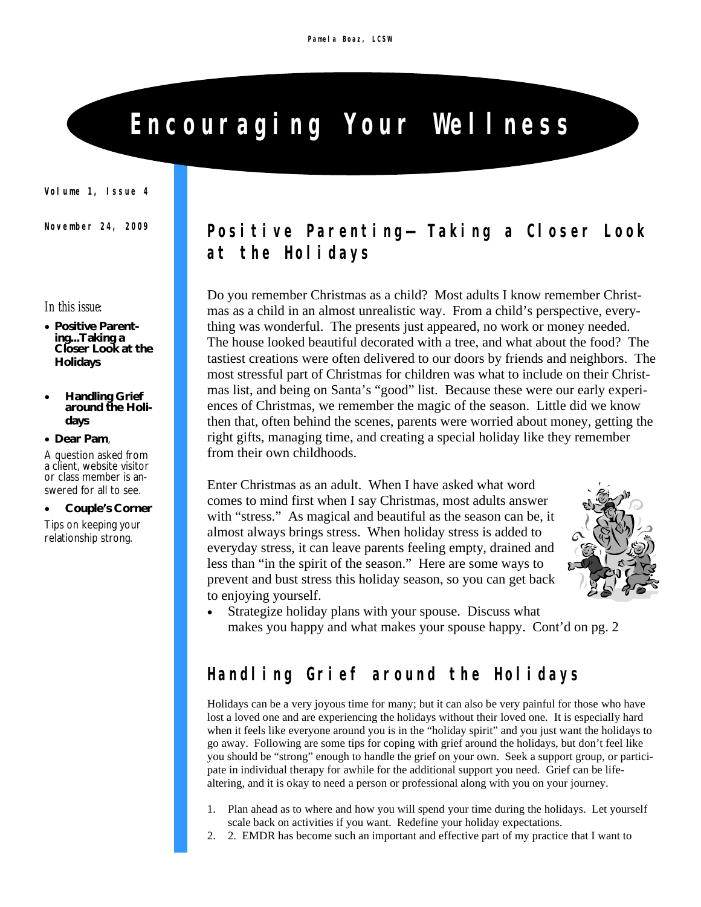# **Encouraging Your Wellness**

**Volume 1, Issue 4**

#### *In this issue:*

- **Positive Parenting...Taking a Closer Look at the Holidays**
- **Handling Grief around the Holidays**
- **Dear Pam**,

A question asked from a client, website visitor or class member is answered for all to see.

- **Couple's Corner**
- Tips on keeping your relationship strong.

#### **November 24, 2009 Positive Parenting—** *Taking a Closer Look at the Holidays*

Do you remember Christmas as a child? Most adults I know remember Christmas as a child in an almost unrealistic way. From a child's perspective, everything was wonderful. The presents just appeared, no work or money needed. The house looked beautiful decorated with a tree, and what about the food? The tastiest creations were often delivered to our doors by friends and neighbors. The most stressful part of Christmas for children was what to include on their Christmas list, and being on Santa's "good" list. Because these were our early experiences of Christmas, we remember the magic of the season. Little did we know then that, often behind the scenes, parents were worried about money, getting the right gifts, managing time, and creating a special holiday like they remember from their own childhoods.

Enter Christmas as an adult. When I have asked what word comes to mind first when I say Christmas, most adults answer with "stress." As magical and beautiful as the season can be, it almost always brings stress. When holiday stress is added to everyday stress, it can leave parents feeling empty, drained and less than "in the spirit of the season." Here are some ways to prevent and bust stress this holiday season, so you can get back to enjoying yourself.



 Strategize holiday plans with your spouse. Discuss what makes you happy and what makes your spouse happy. Cont'd on pg. 2

## **Handling Grief around the Holidays**

Holidays can be a very joyous time for many; but it can also be very painful for those who have lost a loved one and are experiencing the holidays without their loved one. It is especially hard when it feels like everyone around you is in the "holiday spirit" and you just want the holidays to go away. Following are some tips for coping with grief around the holidays, but don't feel like you should be "strong" enough to handle the grief on your own. Seek a support group, or participate in individual therapy for awhile for the additional support you need. Grief can be lifealtering, and it is okay to need a person or professional along with you on your journey.

- 1. Plan ahead as to where and how you will spend your time during the holidays. Let yourself scale back on activities if you want. Redefine your holiday expectations.
- 2. 2. EMDR has become such an important and effective part of my practice that I want to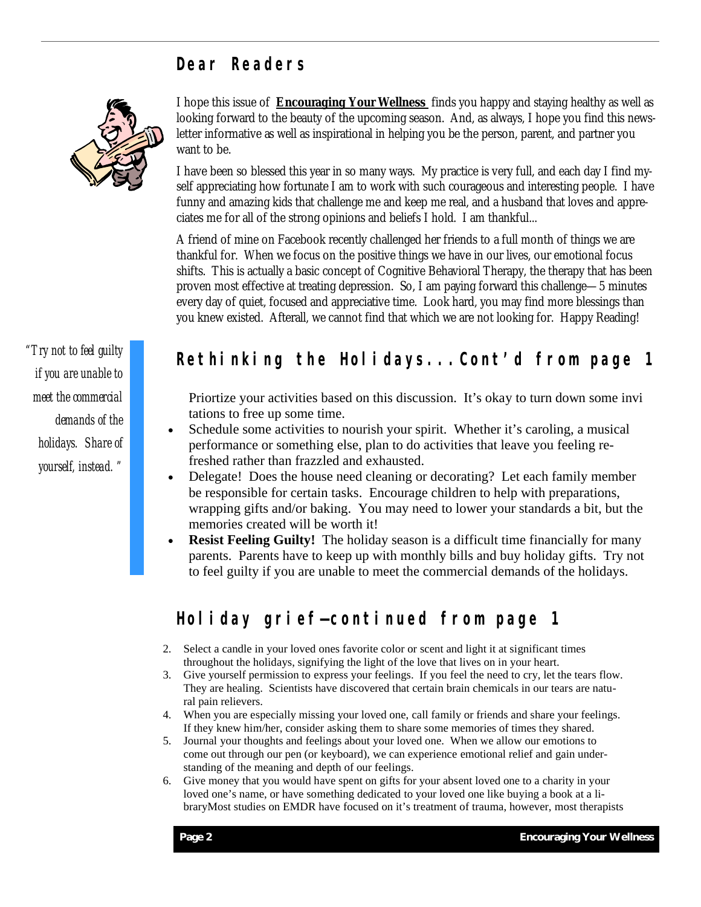#### **Dear Readers**



*"Try not to feel guilty if you are unable to meet the commercial demands of the holidays. Share of yourself, instead. "* 

I hope this issue of **Encouraging Your Wellness** finds you happy and staying healthy as well as looking forward to the beauty of the upcoming season. And, as always, I hope you find this newsletter informative as well as inspirational in helping you be the person, parent, and partner you want to be.

I have been so blessed this year in so many ways. My practice is very full, and each day I find myself appreciating how fortunate I am to work with such courageous and interesting people. I have funny and amazing kids that challenge me and keep me real, and a husband that loves and appreciates me for all of the strong opinions and beliefs I hold. I am thankful...

A friend of mine on Facebook recently challenged her friends to a full month of things we are thankful for. When we focus on the positive things we have in our lives, our emotional focus shifts. This is actually a basic concept of Cognitive Behavioral Therapy, the therapy that has been proven most effective at treating depression. So, I am paying forward this challenge—5 minutes every day of quiet, focused and appreciative time. Look hard, you may find more blessings than you knew existed. Afterall, we cannot find that which we are not looking for. Happy Reading!

#### **Rethinking the Holidays...Cont'd from page 1**

 Priortize your activities based on this discussion. It's okay to turn down some invi tations to free up some time.

- Schedule some activities to nourish your spirit. Whether it's caroling, a musical performance or something else, plan to do activities that leave you feeling refreshed rather than frazzled and exhausted.
- Delegate! Does the house need cleaning or decorating? Let each family member be responsible for certain tasks. Encourage children to help with preparations, wrapping gifts and/or baking. You may need to lower your standards a bit, but the memories created will be worth it!
- **Resist Feeling Guilty!** The holiday season is a difficult time financially for many parents. Parents have to keep up with monthly bills and buy holiday gifts. Try not to feel guilty if you are unable to meet the commercial demands of the holidays.

#### **Holiday grief—continued from page 1**

- 2. Select a candle in your loved ones favorite color or scent and light it at significant times throughout the holidays, signifying the light of the love that lives on in your heart.
- 3. Give yourself permission to express your feelings. If you feel the need to cry, let the tears flow. They are healing. Scientists have discovered that certain brain chemicals in our tears are natural pain relievers.
- 4. When you are especially missing your loved one, call family or friends and share your feelings. If they knew him/her, consider asking them to share some memories of times they shared.
- 5. Journal your thoughts and feelings about your loved one. When we allow our emotions to come out through our pen (or keyboard), we can experience emotional relief and gain understanding of the meaning and depth of our feelings.
- 6. Give money that you would have spent on gifts for your absent loved one to a charity in your loved one's name, or have something dedicated to your loved one like buying a book at a libraryMost studies on EMDR have focused on it's treatment of trauma, however, most therapists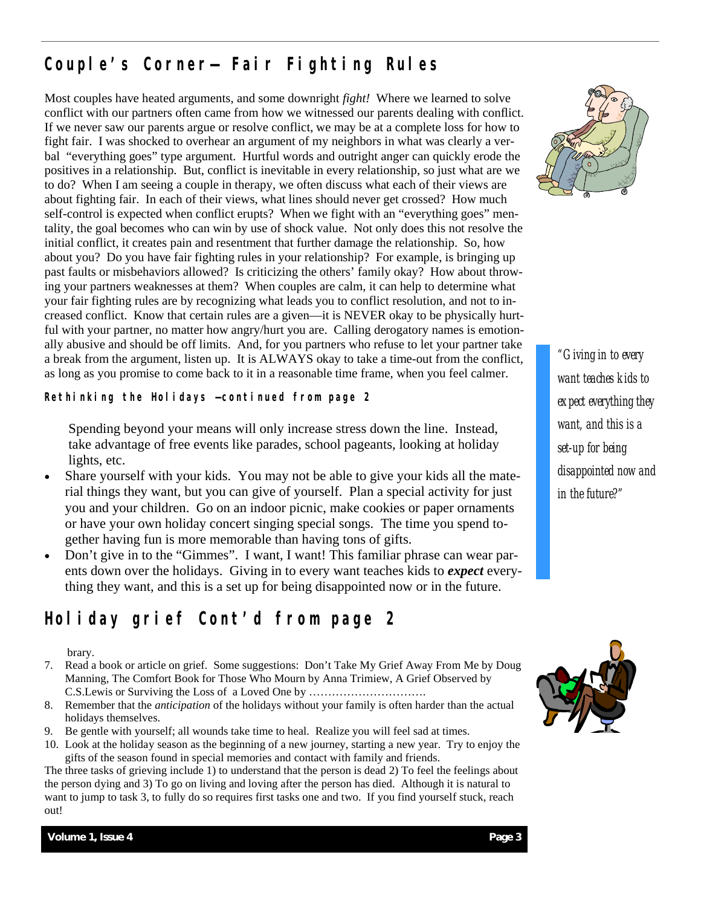## **Couple's Corner— Fair Fighting Rules**

Most couples have heated arguments, and some downright *fight!* Where we learned to solve conflict with our partners often came from how we witnessed our parents dealing with conflict. If we never saw our parents argue or resolve conflict, we may be at a complete loss for how to fight fair. I was shocked to overhear an argument of my neighbors in what was clearly a verbal "everything goes" type argument. Hurtful words and outright anger can quickly erode the positives in a relationship. But, conflict is inevitable in every relationship, so just what are we to do? When I am seeing a couple in therapy, we often discuss what each of their views are about fighting fair. In each of their views, what lines should never get crossed? How much self-control is expected when conflict erupts? When we fight with an "everything goes" mentality, the goal becomes who can win by use of shock value. Not only does this not resolve the initial conflict, it creates pain and resentment that further damage the relationship. So, how about you? Do you have fair fighting rules in your relationship? For example, is bringing up past faults or misbehaviors allowed? Is criticizing the others' family okay? How about throwing your partners weaknesses at them? When couples are calm, it can help to determine what your fair fighting rules are by recognizing what leads you to conflict resolution, and not to increased conflict. Know that certain rules are a given—it is NEVER okay to be physically hurtful with your partner, no matter how angry/hurt you are. Calling derogatory names is emotionally abusive and should be off limits. And, for you partners who refuse to let your partner take a break from the argument, listen up. It is ALWAYS okay to take a time-out from the conflict, as long as you promise to come back to it in a reasonable time frame, when you feel calmer.

*Rethinking the Holidays* **—continued from page 2**

 Spending beyond your means will only increase stress down the line. Instead, take advantage of free events like parades, school pageants, looking at holiday lights, etc.

- Share yourself with your kids. You may not be able to give your kids all the material things they want, but you can give of yourself. Plan a special activity for just you and your children. Go on an indoor picnic, make cookies or paper ornaments or have your own holiday concert singing special songs. The time you spend together having fun is more memorable than having tons of gifts.
- Don't give in to the "Gimmes". I want, I want! This familiar phrase can wear parents down over the holidays. Giving in to every want teaches kids to *expect* everything they want, and this is a set up for being disappointed now or in the future.

## **Holiday grief Cont'd from page 2**

#### brary.

- 7. Read a book or article on grief. Some suggestions: Don't Take My Grief Away From Me by Doug Manning, The Comfort Book for Those Who Mourn by Anna Trimiew, A Grief Observed by C.S.Lewis or Surviving the Loss of a Loved One by ………………………….
- 8. Remember that the *anticipation* of the holidays without your family is often harder than the actual holidays themselves.
- 9. Be gentle with yourself; all wounds take time to heal. Realize you will feel sad at times.
- 10. Look at the holiday season as the beginning of a new journey, starting a new year. Try to enjoy the gifts of the season found in special memories and contact with family and friends.

The three tasks of grieving include 1) to understand that the person is dead 2) To feel the feelings about the person dying and 3) To go on living and loving after the person has died. Although it is natural to want to jump to task 3, to fully do so requires first tasks one and two. If you find yourself stuck, reach out!



*"Giving in to every want teaches kids to expect everything they want, and this is a set-up for being disappointed now and in the future?"*